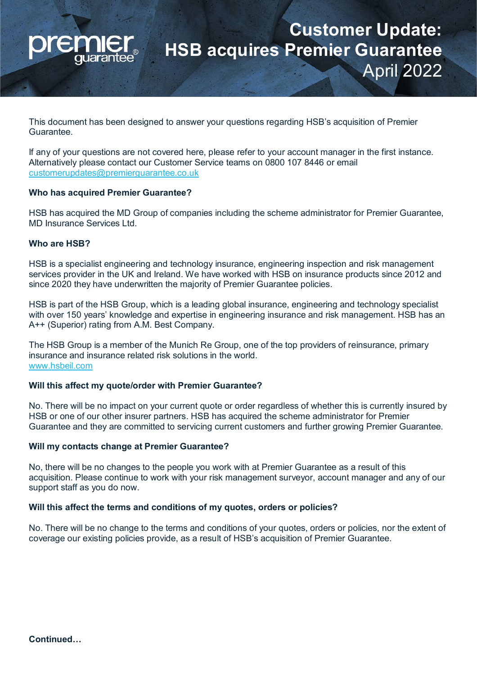

# **Customer Update: HSB acquires Premier Guarantee** April 2022

This document has been designed to answer your questions regarding HSB's acquisition of Premier Guarantee.

If any of your questions are not covered here, please refer to your account manager in the first instance. Alternatively please contact our Customer Service teams on 0800 107 8446 or email [customerupdates@premierguarantee.co.uk](mailto:customerupdates@premierguarantee.co.uk)

### **Who has acquired Premier Guarantee?**

HSB has acquired the MD Group of companies including the scheme administrator for Premier Guarantee, MD Insurance Services Ltd.

#### **Who are HSB?**

HSB is a specialist engineering and technology insurance, engineering inspection and risk management services provider in the UK and Ireland. We have worked with HSB on insurance products since 2012 and since 2020 they have underwritten the majority of Premier Guarantee policies.

HSB is part of the HSB Group, which is a leading global insurance, engineering and technology specialist with over 150 years' knowledge and expertise in engineering insurance and risk management. HSB has an A++ (Superior) rating from A.M. Best Company.

The HSB Group is a member of the Munich Re Group, one of the top providers of reinsurance, primary insurance and insurance related risk solutions in the world. [www.hsbeil.com](https://www.munichre.com/hsbeil/en.html) 

## **Will this affect my quote/order with Premier Guarantee?**

No. There will be no impact on your current quote or order regardless of whether this is currently insured by HSB or one of our other insurer partners. HSB has acquired the scheme administrator for Premier Guarantee and they are committed to servicing current customers and further growing Premier Guarantee.

### **Will my contacts change at Premier Guarantee?**

No, there will be no changes to the people you work with at Premier Guarantee as a result of this acquisition. Please continue to work with your risk management surveyor, account manager and any of our support staff as you do now.

### **Will this affect the terms and conditions of my quotes, orders or policies?**

No. There will be no change to the terms and conditions of your quotes, orders or policies, nor the extent of coverage our existing policies provide, as a result of HSB's acquisition of Premier Guarantee.

**Continued…**